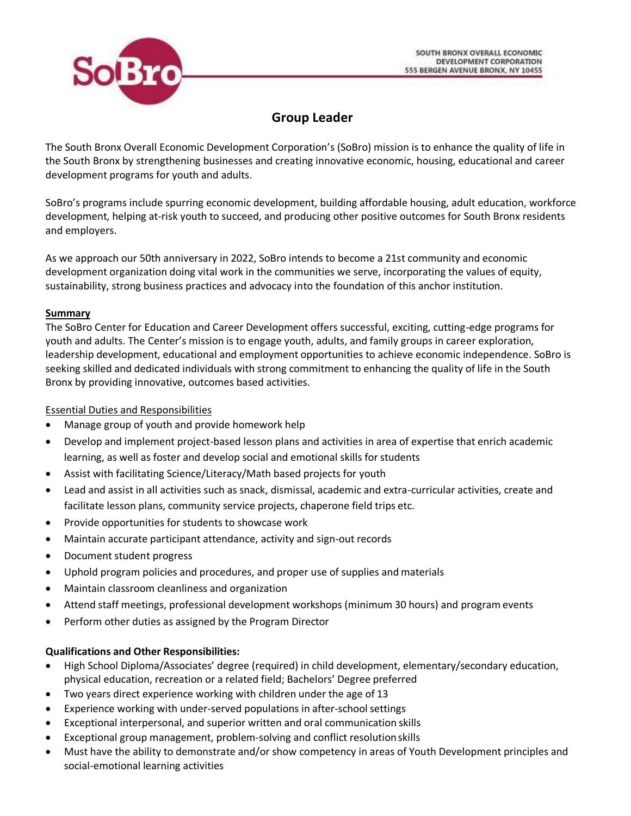

# **Group Leader**

The South Bronx Overall Economic Development Corporation's (SoBro) mission is to enhance the quality of life in the South Bronx by strengthening businesses and creating innovative economic, housing, educational and career development programs for youth and adults.

SoBro's programs include spurring economic development, building affordable housing, adult education, workforce development, helping at-risk youth to succeed, and producing other positive outcomes for South Bronx residents and employers.

As we approach our 50th anniversary in 2022, SoBro intends to become a 21st community and economic development organization doing vital work in the communities we serve, incorporating the values of equity, sustainability, strong business practices and advocacy into the foundation of this anchor institution.

### **Summary**

The SoBro Center for Education and Career Development offers successful, exciting, cutting-edge programs for youth and adults. The Center's mission is to engage youth, adults, and family groups in career exploration, leadership development, educational and employment opportunities to achieve economic independence. SoBro is seeking skilled and dedicated individuals with strong commitment to enhancing the quality of life in the South Bronx by providing innovative, outcomes based activities.

# Essential Duties and Responsibilities

- Manage group of youth and provide homework help
- Develop and implement project-based lesson plans and activities in area of expertise that enrich academic learning, as well as foster and develop social and emotional skills for students
- Assist with facilitating Science/Literacy/Math based projects for youth
- Lead and assist in all activities such as snack, dismissal, academic and extra-curricular activities, create and facilitate lesson plans, community service projects, chaperone field trips etc.
- Provide opportunities for students to showcase work
- Maintain accurate participant attendance, activity and sign-out records
- Document student progress
- Uphold program policies and procedures, and proper use of supplies and materials
- Maintain classroom cleanliness and organization
- Attend staff meetings, professional development workshops (minimum 30 hours) and program events
- Perform other duties as assigned by the Program Director

# **Qualifications and Other Responsibilities:**

- High School Diploma/Associates' degree (required) in child development, elementary/secondary education, physical education, recreation or a related field; Bachelors' Degree preferred
- Two years direct experience working with children under the age of 13
- Experience working with under-served populations in after-schoolsettings
- Exceptional interpersonal, and superior written and oral communication skills
- Exceptional group management, problem-solving and conflict resolutionskills
- Must have the ability to demonstrate and/or show competency in areas of Youth Development principles and social-emotional learning activities